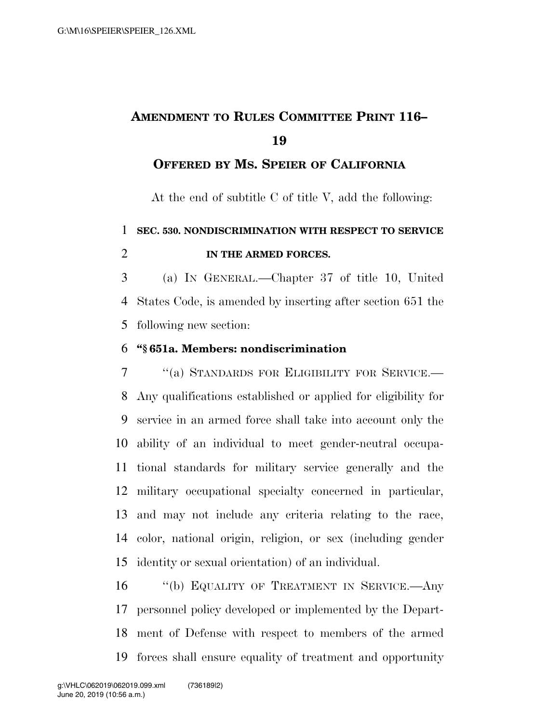# **AMENDMENT TO RULES COMMITTEE PRINT 116–**

### **OFFERED BY MS. SPEIER OF CALIFORNIA**

At the end of subtitle C of title V, add the following:

**SEC. 530. NONDISCRIMINATION WITH RESPECT TO SERVICE** 

#### **IN THE ARMED FORCES.**

 (a) IN GENERAL.—Chapter 37 of title 10, United States Code, is amended by inserting after section 651 the following new section:

#### **''§ 651a. Members: nondiscrimination**

 ''(a) STANDARDS FOR ELIGIBILITY FOR SERVICE.— Any qualifications established or applied for eligibility for service in an armed force shall take into account only the ability of an individual to meet gender-neutral occupa- tional standards for military service generally and the military occupational specialty concerned in particular, and may not include any criteria relating to the race, color, national origin, religion, or sex (including gender identity or sexual orientation) of an individual.

16 "(b) EQUALITY OF TREATMENT IN SERVICE.—Any personnel policy developed or implemented by the Depart- ment of Defense with respect to members of the armed forces shall ensure equality of treatment and opportunity